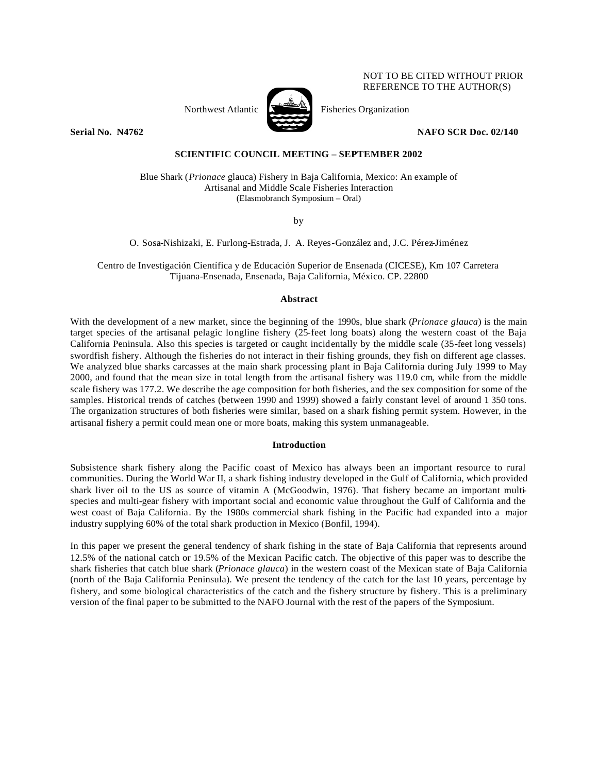# NOT TO BE CITED WITHOUT PRIOR REFERENCE TO THE AUTHOR(S)

Northwest Atlantic  $\sum_{n=1}^{\infty}$  Fisheries Organization



**Serial No. N4762 NAFO SCR Doc. 02/140** 

# **SCIENTIFIC COUNCIL MEETING – SEPTEMBER 2002**

Blue Shark (*Prionace* glauca) Fishery in Baja California, Mexico: An example of Artisanal and Middle Scale Fisheries Interaction (Elasmobranch Symposium – Oral)

by

O. Sosa-Nishizaki, E. Furlong-Estrada, J. A. Reyes-González and, J.C. Pérez-Jiménez

Centro de Investigación Científica y de Educación Superior de Ensenada (CICESE), Km 107 Carretera Tijuana-Ensenada, Ensenada, Baja California, México. CP. 22800

## **Abstract**

With the development of a new market, since the beginning of the 1990s, blue shark (*Prionace glauca*) is the main target species of the artisanal pelagic longline fishery (25-feet long boats) along the western coast of the Baja California Peninsula. Also this species is targeted or caught incidentally by the middle scale (35-feet long vessels) swordfish fishery. Although the fisheries do not interact in their fishing grounds, they fish on different age classes. We analyzed blue sharks carcasses at the main shark processing plant in Baja California during July 1999 to May 2000, and found that the mean size in total length from the artisanal fishery was 119.0 cm, while from the middle scale fishery was 177.2. We describe the age composition for both fisheries, and the sex composition for some of the samples. Historical trends of catches (between 1990 and 1999) showed a fairly constant level of around 1 350 tons. The organization structures of both fisheries were similar, based on a shark fishing permit system. However, in the artisanal fishery a permit could mean one or more boats, making this system unmanageable.

## **Introduction**

Subsistence shark fishery along the Pacific coast of Mexico has always been an important resource to rural communities. During the World War II, a shark fishing industry developed in the Gulf of California, which provided shark liver oil to the US as source of vitamin A (McGoodwin, 1976). That fishery became an important multispecies and multi-gear fishery with important social and economic value throughout the Gulf of California and the west coast of Baja California. By the 1980s commercial shark fishing in the Pacific had expanded into a major industry supplying 60% of the total shark production in Mexico (Bonfil, 1994).

In this paper we present the general tendency of shark fishing in the state of Baja California that represents around 12.5% of the national catch or 19.5% of the Mexican Pacific catch. The objective of this paper was to describe the shark fisheries that catch blue shark (*Prionace glauca*) in the western coast of the Mexican state of Baja California (north of the Baja California Peninsula). We present the tendency of the catch for the last 10 years, percentage by fishery, and some biological characteristics of the catch and the fishery structure by fishery. This is a preliminary version of the final paper to be submitted to the NAFO Journal with the rest of the papers of the Symposium.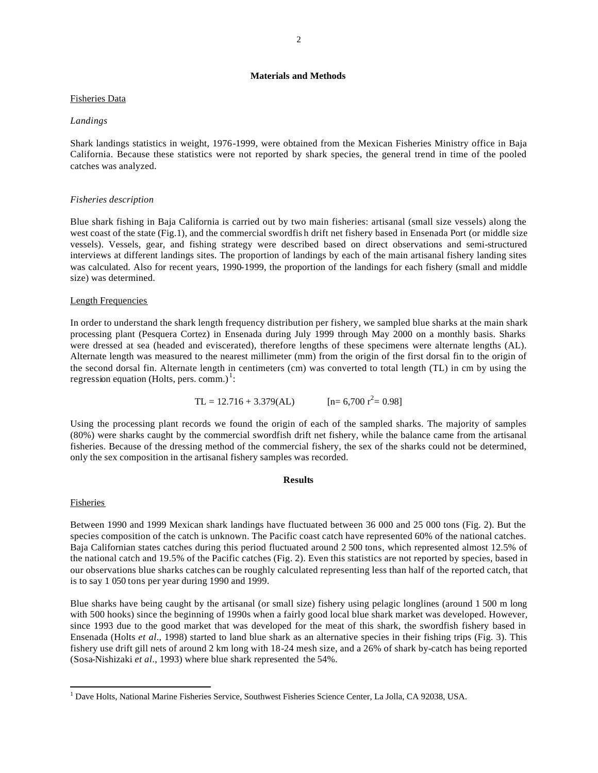# **Materials and Methods**

## Fisheries Data

### *Landings*

Shark landings statistics in weight, 1976-1999, were obtained from the Mexican Fisheries Ministry office in Baja California. Because these statistics were not reported by shark species, the general trend in time of the pooled catches was analyzed.

## *Fisheries description*

Blue shark fishing in Baja California is carried out by two main fisheries: artisanal (small size vessels) along the west coast of the state (Fig.1), and the commercial swordfis h drift net fishery based in Ensenada Port (or middle size vessels). Vessels, gear, and fishing strategy were described based on direct observations and semi-structured interviews at different landings sites. The proportion of landings by each of the main artisanal fishery landing sites was calculated. Also for recent years, 1990-1999, the proportion of the landings for each fishery (small and middle size) was determined.

### Length Frequencies

In order to understand the shark length frequency distribution per fishery, we sampled blue sharks at the main shark processing plant (Pesquera Cortez) in Ensenada during July 1999 through May 2000 on a monthly basis. Sharks were dressed at sea (headed and eviscerated), therefore lengths of these specimens were alternate lengths (AL). Alternate length was measured to the nearest millimeter (mm) from the origin of the first dorsal fin to the origin of the second dorsal fin. Alternate length in centimeters (cm) was converted to total length (TL) in cm by using the regression equation (Holts, pers. comm.)<sup>1</sup>:

TL = 12.716 + 3.379(AL)  $[n= 6,700 \text{ r}^2 = 0.98]$ 

Using the processing plant records we found the origin of each of the sampled sharks. The majority of samples (80%) were sharks caught by the commercial swordfish drift net fishery, while the balance came from the artisanal fisheries. Because of the dressing method of the commercial fishery, the sex of the sharks could not be determined, only the sex composition in the artisanal fishery samples was recorded.

## **Results**

#### Fisheries

Between 1990 and 1999 Mexican shark landings have fluctuated between 36 000 and 25 000 tons (Fig. 2). But the species composition of the catch is unknown. The Pacific coast catch have represented 60% of the national catches. Baja Californian states catches during this period fluctuated around 2 500 tons, which represented almost 12.5% of the national catch and 19.5% of the Pacific catches (Fig. 2). Even this statistics are not reported by species, based in our observations blue sharks catches can be roughly calculated representing less than half of the reported catch, that is to say 1 050 tons per year during 1990 and 1999.

Blue sharks have being caught by the artisanal (or small size) fishery using pelagic longlines (around 1 500 m long with 500 hooks) since the beginning of 1990s when a fairly good local blue shark market was developed. However, since 1993 due to the good market that was developed for the meat of this shark, the swordfish fishery based in Ensenada (Holts *et al*., 1998) started to land blue shark as an alternative species in their fishing trips (Fig. 3). This fishery use drift gill nets of around 2 km long with 18-24 mesh size, and a 26% of shark by-catch has being reported (Sosa-Nishizaki *et al*., 1993) where blue shark represented the 54%.

 $\overline{a}$ <sup>1</sup> Dave Holts, National Marine Fisheries Service, Southwest Fisheries Science Center, La Jolla, CA 92038, USA.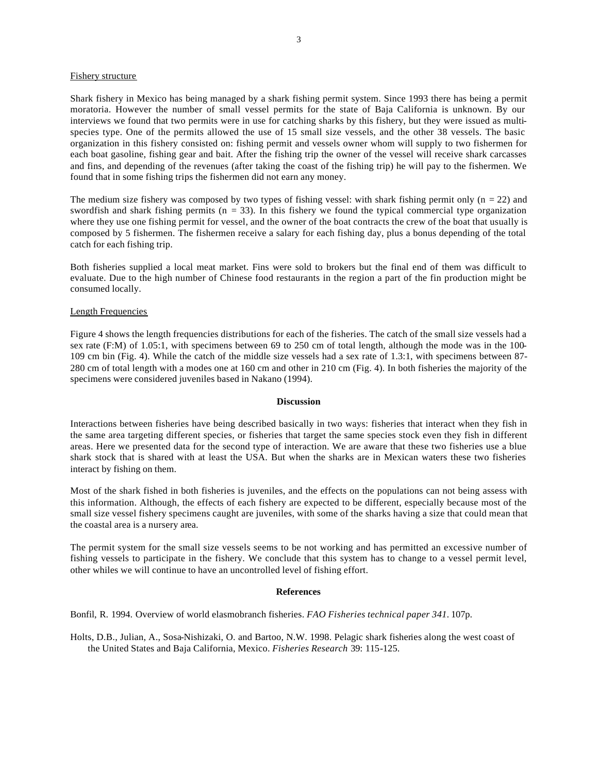#### Fishery structure

Shark fishery in Mexico has being managed by a shark fishing permit system. Since 1993 there has being a permit moratoria. However the number of small vessel permits for the state of Baja California is unknown. By our interviews we found that two permits were in use for catching sharks by this fishery, but they were issued as multispecies type. One of the permits allowed the use of 15 small size vessels, and the other 38 vessels. The basic organization in this fishery consisted on: fishing permit and vessels owner whom will supply to two fishermen for each boat gasoline, fishing gear and bait. After the fishing trip the owner of the vessel will receive shark carcasses and fins, and depending of the revenues (after taking the coast of the fishing trip) he will pay to the fishermen. We found that in some fishing trips the fishermen did not earn any money.

The medium size fishery was composed by two types of fishing vessel: with shark fishing permit only ( $n = 22$ ) and swordfish and shark fishing permits ( $n = 33$ ). In this fishery we found the typical commercial type organization where they use one fishing permit for vessel, and the owner of the boat contracts the crew of the boat that usually is composed by 5 fishermen. The fishermen receive a salary for each fishing day, plus a bonus depending of the total catch for each fishing trip.

Both fisheries supplied a local meat market. Fins were sold to brokers but the final end of them was difficult to evaluate. Due to the high number of Chinese food restaurants in the region a part of the fin production might be consumed locally.

### Length Frequencies

Figure 4 shows the length frequencies distributions for each of the fisheries. The catch of the small size vessels had a sex rate (F:M) of 1.05:1, with specimens between 69 to 250 cm of total length, although the mode was in the 100-109 cm bin (Fig. 4). While the catch of the middle size vessels had a sex rate of 1.3:1, with specimens between 87- 280 cm of total length with a modes one at 160 cm and other in 210 cm (Fig. 4). In both fisheries the majority of the specimens were considered juveniles based in Nakano (1994).

#### **Discussion**

Interactions between fisheries have being described basically in two ways: fisheries that interact when they fish in the same area targeting different species, or fisheries that target the same species stock even they fish in different areas. Here we presented data for the second type of interaction. We are aware that these two fisheries use a blue shark stock that is shared with at least the USA. But when the sharks are in Mexican waters these two fisheries interact by fishing on them.

Most of the shark fished in both fisheries is juveniles, and the effects on the populations can not being assess with this information. Although, the effects of each fishery are expected to be different, especially because most of the small size vessel fishery specimens caught are juveniles, with some of the sharks having a size that could mean that the coastal area is a nursery area.

The permit system for the small size vessels seems to be not working and has permitted an excessive number of fishing vessels to participate in the fishery. We conclude that this system has to change to a vessel permit level, other whiles we will continue to have an uncontrolled level of fishing effort.

#### **References**

Bonfil, R. 1994. Overview of world elasmobranch fisheries. *FAO Fisheries technical paper 341.* 107p.

Holts, D.B., Julian, A., Sosa-Nishizaki, O. and Bartoo, N.W. 1998. Pelagic shark fisheries along the west coast of the United States and Baja California, Mexico. *Fisheries Research* 39: 115-125.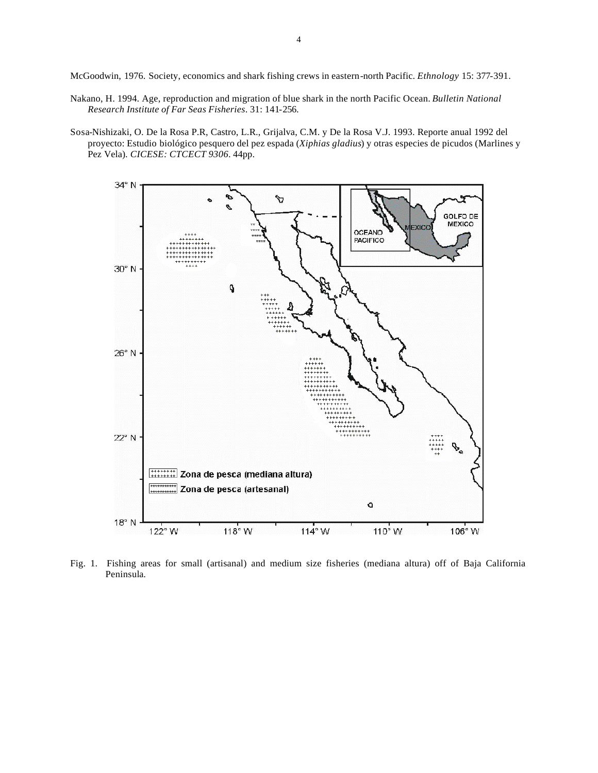McGoodwin, 1976. Society, economics and shark fishing crews in eastern-north Pacific. *Ethnology* 15: 377-391.

- Nakano, H. 1994. Age, reproduction and migration of blue shark in the north Pacific Ocean. *Bulletin National Research Institute of Far Seas Fisheries*. 31: 141-256.
- Sosa-Nishizaki, O. De la Rosa P.R, Castro, L.R., Grijalva, C.M. y De la Rosa V.J. 1993. Reporte anual 1992 del proyecto: Estudio biológico pesquero del pez espada (*Xiphias gladius*) y otras especies de picudos (Marlines y Pez Vela). *CICESE: CTCECT 9306*. 44pp.



Fig. 1. Fishing areas for small (artisanal) and medium size fisheries (mediana altura) off of Baja California Peninsula.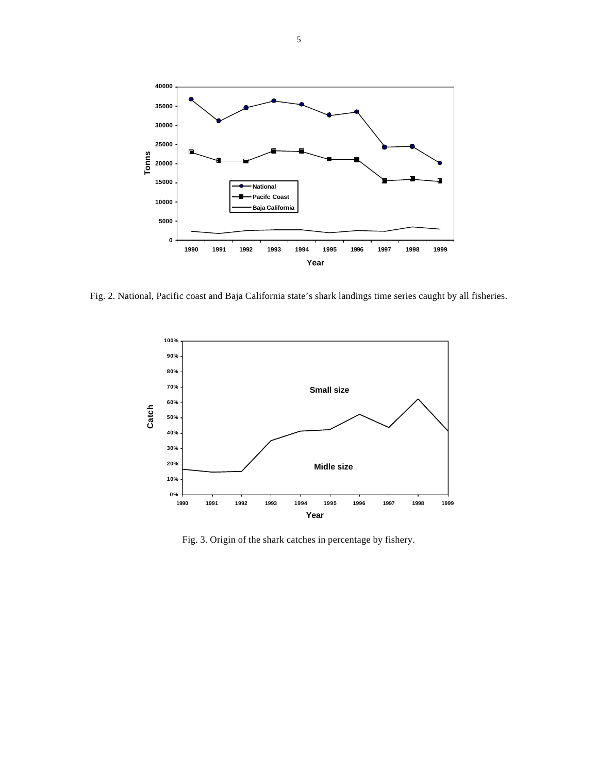

Fig. 2. National, Pacific coast and Baja California state's shark landings time series caught by all fisheries.



Fig. 3. Origin of the shark catches in percentage by fishery.